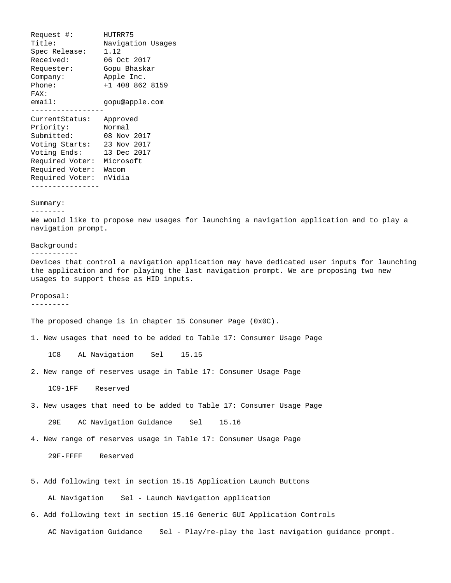Request #: HUTRR75 Title: Navigation Usages Spec Release: 1.12 Received: 06 Oct 2017 Requester: Gopu Bhaskar Company: Apple Inc. Phone: +1 408 862 8159 FAX: email: gopu@apple.com ----------------- CurrentStatus: Approved Priority: Normal Submitted: 08 Nov 2017 Voting Starts: 23 Nov 2017 Voting Ends: 13 Dec 2017 Required Voter: Microsoft Required Voter: Wacom Required Voter: nVidia ---------------- Summary: -------- We would like to propose new usages for launching a navigation application and to play a navigation prompt. Background: ----------- Devices that control a navigation application may have dedicated user inputs for launching the application and for playing the last navigation prompt. We are proposing two new usages to support these as HID inputs. Proposal: --------- The proposed change is in chapter 15 Consumer Page (0x0C). 1. New usages that need to be added to Table 17: Consumer Usage Page 1C8 AL Navigation Sel 15.15 2. New range of reserves usage in Table 17: Consumer Usage Page 1C9-1FF Reserved 3. New usages that need to be added to Table 17: Consumer Usage Page 29E AC Navigation Guidance Sel 15.16 4. New range of reserves usage in Table 17: Consumer Usage Page 29F-FFFF Reserved 5. Add following text in section 15.15 Application Launch Buttons AL Navigation Sel - Launch Navigation application

AC Navigation Guidance Sel - Play/re-play the last navigation guidance prompt.

6. Add following text in section 15.16 Generic GUI Application Controls